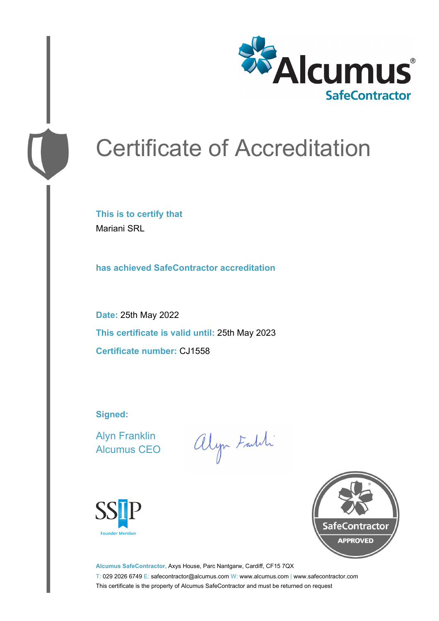

# Certificate of Accreditation

**This is to certify that** Mariani SRL

**has achieved SafeContractor accreditation**

**Date:** 25th May 2022 **This certificate is valid until:** 25th May 2023 **Certificate number:** CJ1558

**Signed:**

Alyn Franklin Alcumus CEO

alyn Faith





**Alcumus SafeContractor,** Axys House, Parc Nantgarw, Cardiff, CF15 7QX T: 029 2026 6749 E: safecontractor@alcumus.com W: www.alcumus.com | www.safecontractor.com This certificate is the property of Alcumus SafeContractor and must be returned on request